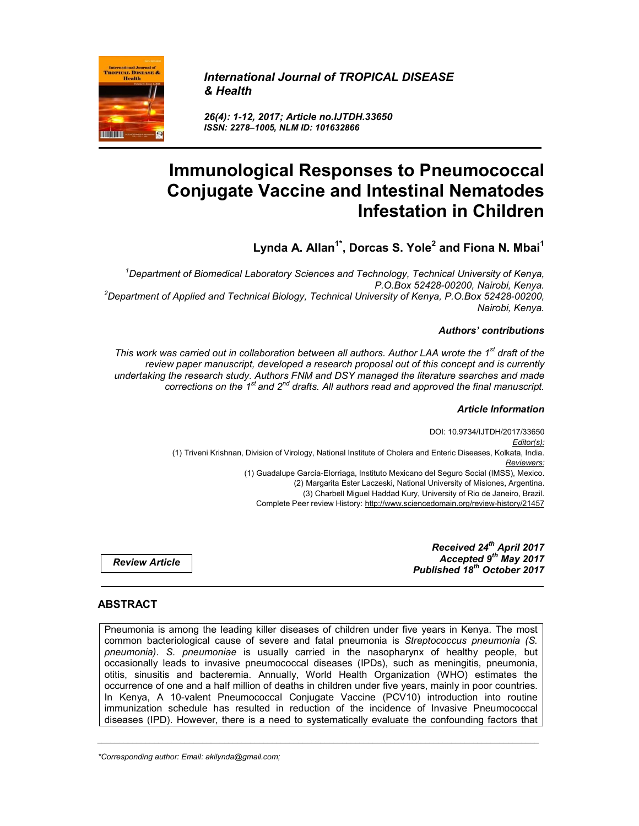

*International Journal of TROPICAL DISEASE & Health*

*26(4): 1-12, 2017; Article no.IJTDH.33650 ISSN: 2278–1005, NLM ID: 101632866*

# **Immunological Responses to Pneumococcal Conjugate Vaccine and Intestinal Nematodes Infestation in Children**

**Lynda A. Allan1\* , Dorcas S. Yole2 and Fiona N. Mbai<sup>1</sup>**

*1 Department of Biomedical Laboratory Sciences and Technology, Technical University of Kenya, P.O.Box 52428-00200, Nairobi, Kenya. <sup>2</sup> Department of Applied and Technical Biology, Technical University of Kenya, P.O.Box 52428-00200, Nairobi, Kenya.*

## *Authors' contributions*

*This work was carried out in collaboration between all authors. Author LAA wrote the 1st draft of the review paper manuscript, developed a research proposal out of this concept and is currently undertaking the research study. Authors FNM and DSY managed the literature searches and made corrections on the 1st and 2nd drafts. All authors read and approved the final manuscript.*

#### *Article Information*

DOI: 10.9734/IJTDH/2017/33650 *Editor(s):* (1) Triveni Krishnan, Division of Virology, National Institute of Cholera and Enteric Diseases, Kolkata, India. *Reviewers:* (1) Guadalupe García-Elorriaga, Instituto Mexicano del Seguro Social (IMSS), Mexico. (2) Margarita Ester Laczeski, National University of Misiones, Argentina. (3) Charbell Miguel Haddad Kury, University of Rio de Janeiro, Brazil. Complete Peer review History: http://www.sciencedomain.org/review-history/21457

*Review Article*

*Received 24th April 2017 Accepted 9th May 2017 Published 18th October 2017*

# **ABSTRACT**

Pneumonia is among the leading killer diseases of children under five years in Kenya. The most common bacteriological cause of severe and fatal pneumonia is *Streptococcus pneumonia (S. pneumonia)*. *S. pneumoniae* is usually carried in the nasopharynx of healthy people, but occasionally leads to invasive pneumococcal diseases (IPDs), such as meningitis, pneumonia, otitis, sinusitis and bacteremia. Annually, World Health Organization (WHO) estimates the occurrence of one and a half million of deaths in children under five years, mainly in poor countries. In Kenya, A 10-valent Pneumococcal Conjugate Vaccine (PCV10) introduction into routine immunization schedule has resulted in reduction of the incidence of Invasive Pneumococcal diseases (IPD). However, there is a need to systematically evaluate the confounding factors that

*\_\_\_\_\_\_\_\_\_\_\_\_\_\_\_\_\_\_\_\_\_\_\_\_\_\_\_\_\_\_\_\_\_\_\_\_\_\_\_\_\_\_\_\_\_\_\_\_\_\_\_\_\_\_\_\_\_\_\_\_\_\_\_\_\_\_\_\_\_\_\_\_\_\_\_\_\_\_\_\_\_\_\_\_\_\_\_\_\_\_\_\_\_\_\_\_\_\_\_\_\_*

*\*Corresponding author: Email: akilynda@gmail.com;*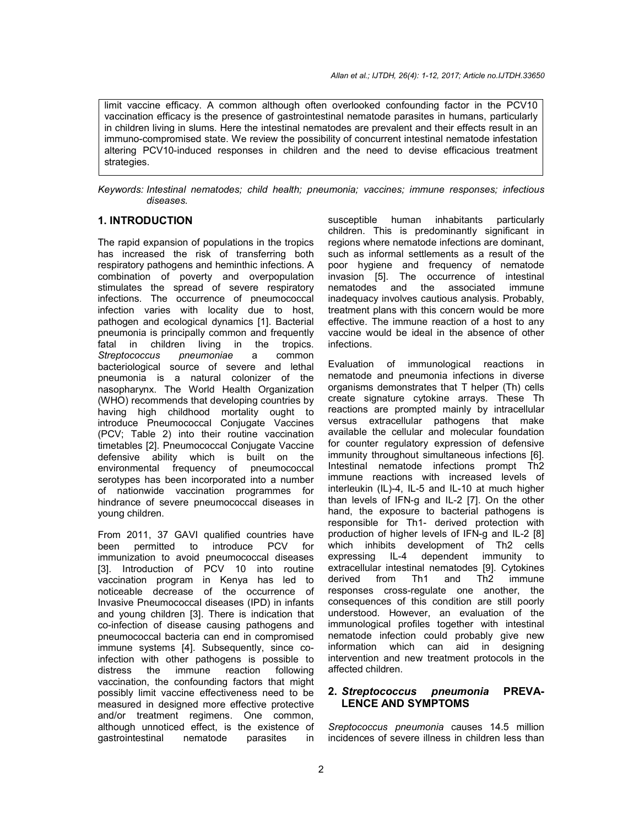limit vaccine efficacy. A common although often overlooked confounding factor in the PCV10 vaccination efficacy is the presence of gastrointestinal nematode parasites in humans, particularly in children living in slums. Here the intestinal nematodes are prevalent and their effects result in an immuno-compromised state. We review the possibility of concurrent intestinal nematode infestation altering PCV10-induced responses in children and the need to devise efficacious treatment strategies.

*Keywords: Intestinal nematodes; child health; pneumonia; vaccines; immune responses; infectious diseases.*

# **1. INTRODUCTION**

The rapid expansion of populations in the tropics has increased the risk of transferring both respiratory pathogens and heminthic infections. A combination of poverty and overpopulation stimulates the spread of severe respiratory infections. The occurrence of pneumococcal infection varies with locality due to host, pathogen and ecological dynamics [1]. Bacterial pneumonia is principally common and frequently fatal in children living in the tropics. *Streptococcus pneumoniae* a common bacteriological source of severe and lethal pneumonia is a natural colonizer of the nasopharynx. The World Health Organization (WHO) recommends that developing countries by having high childhood mortality ought to introduce Pneumococcal Conjugate Vaccines (PCV; Table 2) into their routine vaccination timetables [2]. Pneumococcal Conjugate Vaccine defensive ability which is built on the environmental frequency of pneumococcal serotypes has been incorporated into a number of nationwide vaccination programmes for hindrance of severe pneumococcal diseases in young children.

From 2011, 37 GAVI qualified countries have<br>been permitted to introduce PCV for been permitted to introduce PCV immunization to avoid pneumococcal diseases [3]. Introduction of PCV 10 into routine vaccination program in Kenya has led to noticeable decrease of the occurrence of Invasive Pneumococcal diseases (IPD) in infants and young children [3]. There is indication that co-infection of disease causing pathogens and pneumococcal bacteria can end in compromised immune systems [4]. Subsequently, since coinfection with other pathogens is possible to distress the immune reaction following vaccination, the confounding factors that might possibly limit vaccine effectiveness need to be measured in designed more effective protective and/or treatment regimens. One common, although unnoticed effect, is the existence of gastrointestinal nematode parasites in

susceptible human inhabitants particularly children. This is predominantly significant in regions where nematode infections are dominant, such as informal settlements as a result of the poor hygiene and frequency of nematode invasion [5]. The occurrence of intestinal nematodes and the associated immune inadequacy involves cautious analysis. Probably, treatment plans with this concern would be more effective. The immune reaction of a host to any vaccine would be ideal in the absence of other infections.

Evaluation of immunological reactions in nematode and pneumonia infections in diverse organisms demonstrates that T helper (Th) cells create signature cytokine arrays. These Th reactions are prompted mainly by intracellular versus extracellular pathogens that make available the cellular and molecular foundation for counter regulatory expression of defensive immunity throughout simultaneous infections [6]. Intestinal nematode infections prompt Th2 immune reactions with increased levels of interleukin (IL)-4, IL-5 and IL-10 at much higher than levels of IFN-g and IL-2 [7]. On the other hand, the exposure to bacterial pathogens is responsible for Th1- derived protection with production of higher levels of IFN-g and IL-2 [8] which inhibits development of Th2 cells expressing IL-4 dependent immunity to extracellular intestinal nematodes [9]. Cytokines derived from Th1 and Th2 immune responses cross-regulate one another, the consequences of this condition are still poorly understood. However, an evaluation of the immunological profiles together with intestinal nematode infection could probably give new information which can aid in designing intervention and new treatment protocols in the affected children.

# **2.** *Streptococcus pneumonia* **PREVA-LENCE AND SYMPTOMS**

*Sreptococcus pneumonia* causes 14.5 million incidences of severe illness in children less than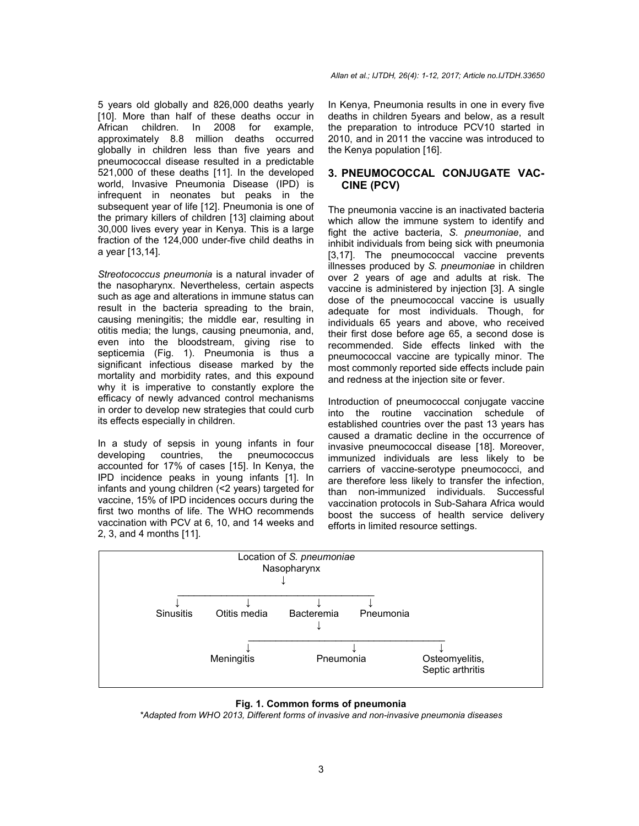5 years old globally and 826,000 deaths yearly [10]. More than half of these deaths occur in African children. In 2008 for example, approximately 8.8 million deaths occurred globally in children less than five years and pneumococcal disease resulted in a predictable 521,000 of these deaths [11]. In the developed world, Invasive Pneumonia Disease (IPD) is infrequent in neonates but peaks in the subsequent year of life [12]. Pneumonia is one of the primary killers of children [13] claiming about 30,000 lives every year in Kenya. This is a large fraction of the 124,000 under-five child deaths in a year [13,14].

*Streotococcus pneumonia* is a natural invader of the nasopharynx. Nevertheless, certain aspects such as age and alterations in immune status can result in the bacteria spreading to the brain, causing meningitis; the middle ear, resulting in otitis media; the lungs, causing pneumonia, and, even into the bloodstream, giving rise to septicemia (Fig. 1). Pneumonia is thus a significant infectious disease marked by the mortality and morbidity rates, and this expound why it is imperative to constantly explore the efficacy of newly advanced control mechanisms in order to develop new strategies that could curb its effects especially in children.

In a study of sepsis in young infants in four developing countries, the pneumococcus accounted for 17% of cases [15]. In Kenya, the IPD incidence peaks in young infants [1]. In infants and young children (<2 years) targeted for vaccine, 15% of IPD incidences occurs during the first two months of life. The WHO recommends vaccination with PCV at 6, 10, and 14 weeks and 2, 3, and 4 months [11].

*Allan et al.; IJTDH, 26(4): 1-12, 2017; Article no.IJTDH.33650*

In Kenya, Pneumonia results in one in every five deaths in children 5years and below, as a result the preparation to introduce PCV10 started in 2010, and in 2011 the vaccine was introduced to the Kenya population [16].

# **3. PNEUMOCOCCAL CONJUGATE VAC-CINE (PCV)**

The pneumonia vaccine is an inactivated bacteria which allow the immune system to identify and fight the active bacteria, *S. pneumoniae*, and inhibit individuals from being sick with pneumonia [3,17]. The pneumococcal vaccine prevents illnesses produced by *S. pneumoniae* in children over 2 years of age and adults at risk. The vaccine is administered by injection [3]. A single dose of the pneumococcal vaccine is usually adequate for most individuals. Though, for individuals 65 years and above, who received their first dose before age 65, a second dose is recommended. Side effects linked with the pneumococcal vaccine are typically minor. The most commonly reported side effects include pain and redness at the injection site or fever.

Introduction of pneumococcal conjugate vaccine into the routine vaccination schedule of established countries over the past 13 years has caused a dramatic decline in the occurrence of invasive pneumococcal disease [18]. Moreover, immunized individuals are less likely to be carriers of vaccine-serotype pneumococci, and are therefore less likely to transfer the infection, than non-immunized individuals. Successful vaccination protocols in Sub-Sahara Africa would boost the success of health service delivery efforts in limited resource settings.



#### **Fig. 1. Common forms of pneumonia**

*\*Adapted from WHO 2013, Different forms of invasive and non-invasive pneumonia diseases*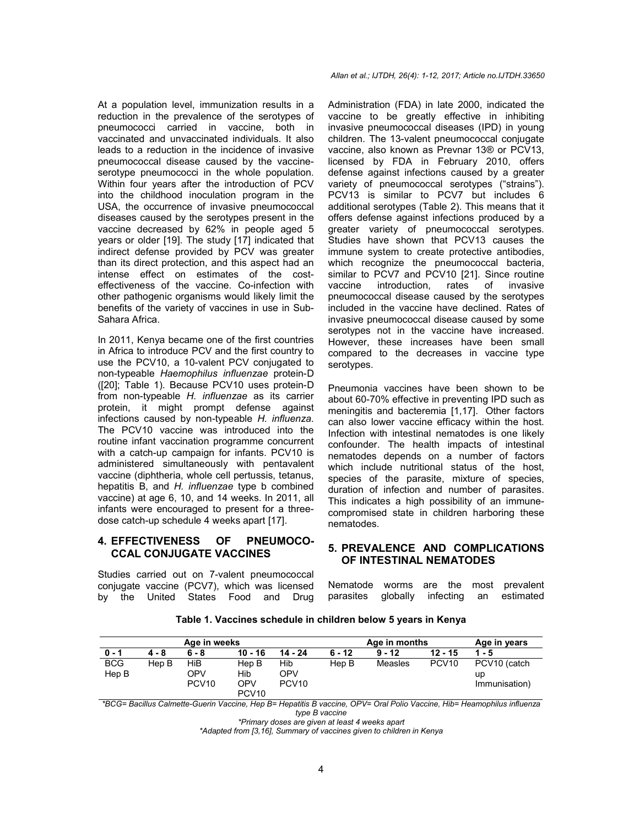At a population level, immunization results in a reduction in the prevalence of the serotypes of pneumococci carried in vaccine, both in vaccinated and unvaccinated individuals. It also leads to a reduction in the incidence of invasive pneumococcal disease caused by the vaccineserotype pneumococci in the whole population. Within four years after the introduction of PCV into the childhood inoculation program in the USA, the occurrence of invasive pneumococcal diseases caused by the serotypes present in the vaccine decreased by 62% in people aged 5 years or older [19]. The study [17] indicated that indirect defense provided by PCV was greater than its direct protection, and this aspect had an intense effect on estimates of the costeffectiveness of the vaccine. Co-infection with other pathogenic organisms would likely limit the benefits of the variety of vaccines in use in Sub-Sahara Africa.

In 2011, Kenya became one of the first countries in Africa to introduce PCV and the first country to use the PCV10, a 10-valent PCV conjugated to non-typeable *Haemophilus influenzae* protein-D ([20]; Table 1). Because PCV10 uses protein-D from non-typeable *H. influenzae* as its carrier protein, it might prompt defense against infections caused by non-typeable *H. influenza*. The PCV10 vaccine was introduced into the routine infant vaccination programme concurrent with a catch-up campaign for infants. PCV10 is administered simultaneously with pentavalent vaccine (diphtheria, whole cell pertussis, tetanus, hepatitis B, and *H. influenzae* type b combined vaccine) at age 6, 10, and 14 weeks. In 2011, all infants were encouraged to present for a threedose catch-up schedule 4 weeks apart [17].

# **4. EFFECTIVENESS OF PNEUMOCO-CCAL CONJUGATE VACCINES**

Studies carried out on 7-valent pneumococcal conjugate vaccine (PCV7), which was licensed by the United States Food and Drug

#### *Allan et al.; IJTDH, 26(4): 1-12, 2017; Article no.IJTDH.33650*

Administration (FDA) in late 2000, indicated the vaccine to be greatly effective in inhibiting invasive pneumococcal diseases (IPD) in young children. The 13-valent pneumococcal conjugate vaccine, also known as Prevnar 13® or PCV13, licensed by FDA in February 2010, offers defense against infections caused by a greater variety of pneumococcal serotypes ("strains"). PCV13 is similar to PCV7 but includes 6 additional serotypes (Table 2). This means that it offers defense against infections produced by a greater variety of pneumococcal serotypes. Studies have shown that PCV13 causes the immune system to create protective antibodies, which recognize the pneumococcal bacteria, similar to PCV7 and PCV10 [21]. Since routine vaccine introduction, rates of invasive pneumococcal disease caused by the serotypes included in the vaccine have declined. Rates of invasive pneumococcal disease caused by some serotypes not in the vaccine have increased. However, these increases have been small compared to the decreases in vaccine type serotypes.

Pneumonia vaccines have been shown to be about 60-70% effective in preventing IPD such as meningitis and bacteremia [1,17]. Other factors can also lower vaccine efficacy within the host. Infection with intestinal nematodes is one likely confounder. The health impacts of intestinal nematodes depends on a number of factors which include nutritional status of the host, species of the parasite, mixture of species, duration of infection and number of parasites. This indicates a high possibility of an immunecompromised state in children harboring these nematodes.

#### **5. PREVALENCE AND COMPLICATIONS OF INTESTINAL NEMATODES**

Nematode worms are the most prevalent<br>parasites globally infecting an estimated parasites globally infecting an

**Table 1. Vaccines schedule in children below 5 years in Kenya**

| Age in weeks        |       |                                 |                                                 | Age in months                   |          |          | Age in years      |                                     |
|---------------------|-------|---------------------------------|-------------------------------------------------|---------------------------------|----------|----------|-------------------|-------------------------------------|
| $0 - 1$             | 4 - 8 | $6 - 8$                         | 10 - 16                                         | 14 - 24                         | $6 - 12$ | $9 - 12$ | $12 - 15$         | $1 - 5$                             |
| <b>BCG</b><br>Hep B | Hep B | HiB<br>OPV<br>PCV <sub>10</sub> | Hep B<br>Hib<br><b>OPV</b><br>PCV <sub>10</sub> | Hib<br>OPV<br>PCV <sub>10</sub> | Hep B    | Measles  | PCV <sub>10</sub> | PCV10 (catch<br>up<br>Immunisation) |

*\*BCG= Bacillus Calmette-Guerin Vaccine, Hep B= Hepatitis B vaccine, OPV= Oral Polio Vaccine, Hib= Heamophilus influenza type B vaccine*

*\*Primary doses are given at least 4 weeks apart*

*\*Adapted from [3,16], Summary of vaccines given to children in Kenya*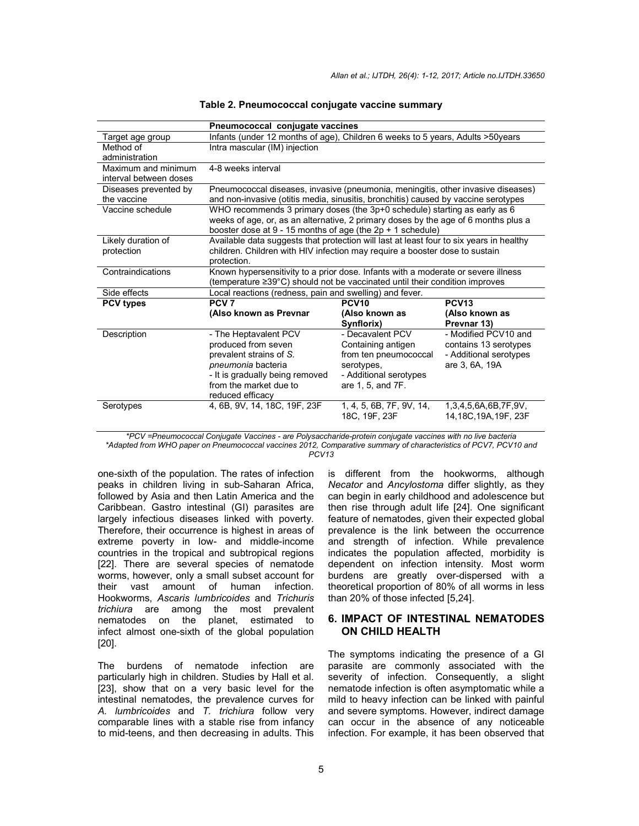|                        | Pneumococcal conjugate vaccines                                                           |                          |                        |  |  |
|------------------------|-------------------------------------------------------------------------------------------|--------------------------|------------------------|--|--|
| Target age group       | Infants (under 12 months of age), Children 6 weeks to 5 years, Adults > 50years           |                          |                        |  |  |
| Method of              | Intra mascular (IM) injection                                                             |                          |                        |  |  |
| administration         |                                                                                           |                          |                        |  |  |
| Maximum and minimum    | 4-8 weeks interval                                                                        |                          |                        |  |  |
| interval between doses |                                                                                           |                          |                        |  |  |
| Diseases prevented by  | Pneumococcal diseases, invasive (pneumonia, meningitis, other invasive diseases)          |                          |                        |  |  |
| the vaccine            | and non-invasive (otitis media, sinusitis, bronchitis) caused by vaccine serotypes        |                          |                        |  |  |
| Vaccine schedule       | WHO recommends 3 primary doses (the 3p+0 schedule) starting as early as 6                 |                          |                        |  |  |
|                        | weeks of age, or, as an alternative, 2 primary doses by the age of 6 months plus a        |                          |                        |  |  |
|                        | booster dose at $9 - 15$ months of age (the $2p + 1$ schedule)                            |                          |                        |  |  |
| Likely duration of     | Available data suggests that protection will last at least four to six years in healthy   |                          |                        |  |  |
| protection             | children. Children with HIV infection may require a booster dose to sustain               |                          |                        |  |  |
|                        | protection.                                                                               |                          |                        |  |  |
| Contraindications      | Known hypersensitivity to a prior dose. Infants with a moderate or severe illness         |                          |                        |  |  |
|                        | (temperature $\geq 39^{\circ}$ C) should not be vaccinated until their condition improves |                          |                        |  |  |
| Side effects           | Local reactions (redness, pain and swelling) and fever.                                   |                          |                        |  |  |
| <b>PCV types</b>       | PCV <sub>7</sub>                                                                          | <b>PCV10</b>             | <b>PCV13</b>           |  |  |
|                        | (Also known as Prevnar                                                                    | (Also known as           | (Also known as         |  |  |
|                        |                                                                                           | Synflorix)               | Prevnar 13)            |  |  |
| Description            | - The Heptavalent PCV                                                                     | - Decavalent PCV         | - Modified PCV10 and   |  |  |
|                        | produced from seven                                                                       | Containing antigen       | contains 13 serotypes  |  |  |
|                        | prevalent strains of S.                                                                   | from ten pneumococcal    | - Additional serotypes |  |  |
|                        | pneumonia bacteria                                                                        | serotypes,               | are 3, 6A, 19A         |  |  |
|                        | - It is gradually being removed                                                           | - Additional serotypes   |                        |  |  |
|                        | from the market due to                                                                    | are 1, 5, and 7F.        |                        |  |  |
|                        | reduced efficacy                                                                          |                          |                        |  |  |
| Serotypes              | 4, 6B, 9V, 14, 18C, 19F, 23F                                                              | 1, 4, 5, 6B, 7F, 9V, 14, | 1,3,4,5,6A,6B,7F,9V,   |  |  |
|                        |                                                                                           | 18C, 19F, 23F            | 14,18C,19A,19F, 23F    |  |  |

#### **Table 2. Pneumococcal conjugate vaccine summary**

*\*PCV =Pneumococcal Conjugate Vaccines - are Polysaccharide-protein conjugate vaccines with no live bacteria \*Adapted from WHO paper on Pneumococcal vaccines 2012, Comparative summary of characteristics of PCV7, PCV10 and PCV13*

one-sixth of the population. The rates of infection peaks in children living in sub-Saharan Africa, followed by Asia and then Latin America and the Caribbean. Gastro intestinal (GI) parasites are largely infectious diseases linked with poverty. Therefore, their occurrence is highest in areas of extreme poverty in low- and middle-income countries in the tropical and subtropical regions [22]. There are several species of nematode worms, however, only a small subset account for their vast amount of human infection. Hookworms, *Ascaris lumbricoides* and *Trichuris trichiura* are among the most prevalent nematodes on the planet, estimated to infect almost one-sixth of the global population [20].

The burdens of nematode infection are particularly high in children. Studies by Hall et al. [23], show that on a very basic level for the intestinal nematodes, the prevalence curves for *A. lumbricoides* and *T. trichiura* follow very comparable lines with a stable rise from infancy to mid-teens, and then decreasing in adults. This is different from the hookworms, although *Necator* and *Ancylostoma* differ slightly, as they can begin in early childhood and adolescence but then rise through adult life [24]. One significant feature of nematodes, given their expected global prevalence is the link between the occurrence and strength of infection. While prevalence indicates the population affected, morbidity is dependent on infection intensity. Most worm burdens are greatly over-dispersed with a theoretical proportion of 80% of all worms in less than 20% of those infected [5,24].

# **6. IMPACT OF INTESTINAL NEMATODES ON CHILD HEALTH**

The symptoms indicating the presence of a GI parasite are commonly associated with the severity of infection. Consequently, a slight nematode infection is often asymptomatic while a mild to heavy infection can be linked with painful and severe symptoms. However, indirect damage can occur in the absence of any noticeable infection. For example, it has been observed that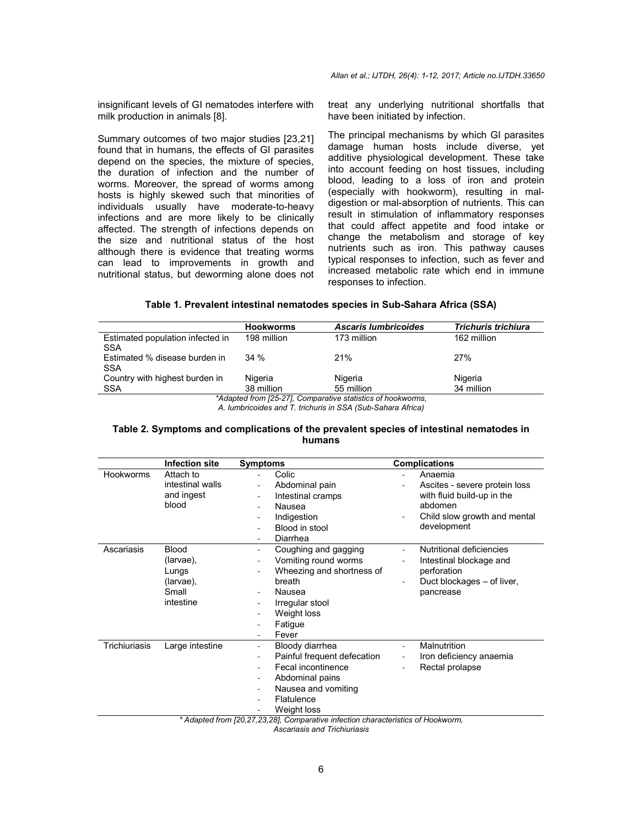*Allan et al.; IJTDH, 26(4): 1-12, 2017; Article no.IJTDH.33650*

insignificant levels of GI nematodes interfere with milk production in animals [8].

Summary outcomes of two major studies [23,21] found that in humans, the effects of GI parasites depend on the species, the mixture of species, the duration of infection and the number of worms. Moreover, the spread of worms among hosts is highly skewed such that minorities of individuals usually have moderate-to-heavy infections and are more likely to be clinically affected. The strength of infections depends on the size and nutritional status of the host although there is evidence that treating worms can lead to improvements in growth and nutritional status, but deworming alone does not treat any underlying nutritional shortfalls that have been initiated by infection.

The principal mechanisms by which GI parasites damage human hosts include diverse, yet additive physiological development. These take into account feeding on host tissues, including blood, leading to a loss of iron and protein (especially with hookworm), resulting in maldigestion or mal-absorption of nutrients. This can result in stimulation of inflammatory responses that could affect appetite and food intake or change the metabolism and storage of key nutrients such as iron. This pathway causes typical responses to infection, such as fever and increased metabolic rate which end in immune responses to infection.

#### **Table 1. Prevalent intestinal nematodes species in Sub-Sahara Africa (SSA)**

|                                                             | <b>Hookworms</b> | <b>Ascaris lumbricoides</b> | <b>Trichuris trichiura</b> |  |  |
|-------------------------------------------------------------|------------------|-----------------------------|----------------------------|--|--|
| Estimated population infected in<br>SSA                     | 198 million      | 173 million                 | 162 million                |  |  |
| Estimated % disease burden in<br>SSA                        | 34%              | 21%                         | 27%                        |  |  |
| Country with highest burden in                              | Nigeria          | Nigeria                     | Nigeria                    |  |  |
| <b>SSA</b>                                                  | 38 million       | 55 million                  | 34 million                 |  |  |
| *Adapted from [25-27], Comparative statistics of hookworms, |                  |                             |                            |  |  |

*A. lumbricoides and T. trichuris in SSA (Sub-Sahara Africa)*

#### **Table 2. Symptoms and complications of the prevalent species of intestinal nematodes in humans**

|                  | <b>Infection site</b>                                                 | <b>Symptoms</b>                                                                                                                                                                                                                                                                                                           | <b>Complications</b>                                                                                                                      |
|------------------|-----------------------------------------------------------------------|---------------------------------------------------------------------------------------------------------------------------------------------------------------------------------------------------------------------------------------------------------------------------------------------------------------------------|-------------------------------------------------------------------------------------------------------------------------------------------|
| <b>Hookworms</b> | Attach to<br>intestinal walls<br>and ingest<br>blood                  | Colic<br>Abdominal pain<br>$\overline{\phantom{a}}$<br>Intestinal cramps<br>Ξ.<br>Nausea<br>$\overline{\phantom{a}}$<br>Indigestion<br>$\overline{\phantom{0}}$<br>Blood in stool<br>$\overline{\phantom{0}}$<br>Diarrhea<br>$\overline{\phantom{0}}$                                                                     | Anaemia<br>Ascites - severe protein loss<br>with fluid build-up in the<br>abdomen<br>Child slow growth and mental<br>development          |
| Ascariasis       | <b>Blood</b><br>(larvae),<br>Lungs<br>(larvae),<br>Small<br>intestine | Coughing and gagging<br>$\overline{\phantom{a}}$<br>Vomiting round worms<br>$\overline{\phantom{0}}$<br>Wheezing and shortness of<br>breath<br>Nausea<br>$\overline{\phantom{a}}$<br>Irregular stool<br>$\overline{\phantom{a}}$<br>Weight loss<br>۰<br>Fatigue<br>۰<br>Fever<br>۰.                                       | Nutritional deficiencies<br>$\overline{\phantom{a}}$<br>Intestinal blockage and<br>perforation<br>Duct blockages – of liver,<br>pancrease |
| Trichiuriasis    | Large intestine                                                       | Bloody diarrhea<br>$\overline{\phantom{0}}$<br>Painful frequent defecation<br>$\overline{\phantom{a}}$<br>Fecal incontinence<br>Abdominal pains<br>Ξ.<br>Nausea and vomiting<br>$\overline{\phantom{a}}$<br>Flatulence<br>Weight loss<br>* Adapted from [20,27,23,28], Comparative infection characteristics of Hookworm, | Malnutrition<br>$\overline{a}$<br>Iron deficiency anaemia<br>$\overline{\phantom{a}}$<br>Rectal prolapse                                  |
|                  |                                                                       | Acceptacio and Trichiusicaio                                                                                                                                                                                                                                                                                              |                                                                                                                                           |

*Ascariasis and Trichiuriasis*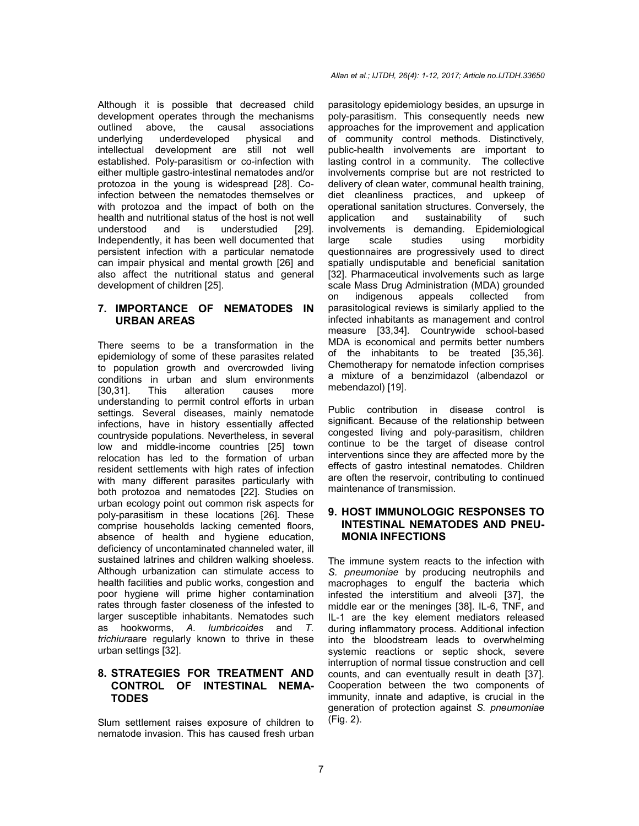Although it is possible that decreased child development operates through the mechanisms outlined above, the causal associations underlying underdeveloped physical and intellectual development are still not well established. Poly-parasitism or co-infection with either multiple gastro-intestinal nematodes and/or protozoa in the young is widespread [28]. Coinfection between the nematodes themselves or with protozoa and the impact of both on the health and nutritional status of the host is not well understood and is understudied [29]. Independently, it has been well documented that persistent infection with a particular nematode can impair physical and mental growth [26] and also affect the nutritional status and general development of children [25].

## **7. IMPORTANCE OF NEMATODES IN URBAN AREAS**

There seems to be a transformation in the epidemiology of some of these parasites related to population growth and overcrowded living conditions in urban and slum environments [30,31]. This alteration causes more understanding to permit control efforts in urban settings. Several diseases, mainly nematode infections, have in history essentially affected countryside populations. Nevertheless, in several low and middle-income countries [25] town relocation has led to the formation of urban resident settlements with high rates of infection with many different parasites particularly with both protozoa and nematodes [22]. Studies on urban ecology point out common risk aspects for poly-parasitism in these locations [26]. These comprise households lacking cemented floors, absence of health and hygiene education, deficiency of uncontaminated channeled water, ill sustained latrines and children walking shoeless. Although urbanization can stimulate access to health facilities and public works, congestion and poor hygiene will prime higher contamination rates through faster closeness of the infested to larger susceptible inhabitants. Nematodes such as hookworms, *A. lumbricoides* and *T. trichiura*are regularly known to thrive in these urban settings [32].

# **8. STRATEGIES FOR TREATMENT AND CONTROL OF INTESTINAL NEMA-TODES**

Slum settlement raises exposure of children to nematode invasion. This has caused fresh urban

#### *Allan et al.; IJTDH, 26(4): 1-12, 2017; Article no.IJTDH.33650*

parasitology epidemiology besides, an upsurge in poly-parasitism. This consequently needs new approaches for the improvement and application of community control methods. Distinctively, public-health involvements are important to lasting control in a community. The collective involvements comprise but are not restricted to delivery of clean water, communal health training, diet cleanliness practices, and upkeep of operational sanitation structures. Conversely, the application and sustainability of such involvements is demanding. Epidemiological large scale studies using morbidity questionnaires are progressively used to direct spatially undisputable and beneficial sanitation [32]. Pharmaceutical involvements such as large scale Mass Drug Administration (MDA) grounded on indigenous appeals collected from parasitological reviews is similarly applied to the infected inhabitants as management and control measure [33,34]. Countrywide school-based MDA is economical and permits better numbers of the inhabitants to be treated [35,36]. Chemotherapy for nematode infection comprises a mixture of a benzimidazol (albendazol or mebendazol) [19].

Public contribution in disease control is significant. Because of the relationship between congested living and poly-parasitism, children continue to be the target of disease control interventions since they are affected more by the effects of gastro intestinal nematodes. Children are often the reservoir, contributing to continued maintenance of transmission.

# **9. HOST IMMUNOLOGIC RESPONSES TO INTESTINAL NEMATODES AND PNEU-MONIA INFECTIONS**

The immune system reacts to the infection with *S. pneumoniae* by producing neutrophils and macrophages to engulf the bacteria which infested the interstitium and alveoli [37], the middle ear or the meninges [38]. IL-6, TNF, and IL-1 are the key element mediators released during inflammatory process. Additional infection into the bloodstream leads to overwhelming systemic reactions or septic shock, severe interruption of normal tissue construction and cell counts, and can eventually result in death [37]. Cooperation between the two components of immunity, innate and adaptive, is crucial in the generation of protection against *S. pneumoniae* (Fig. 2).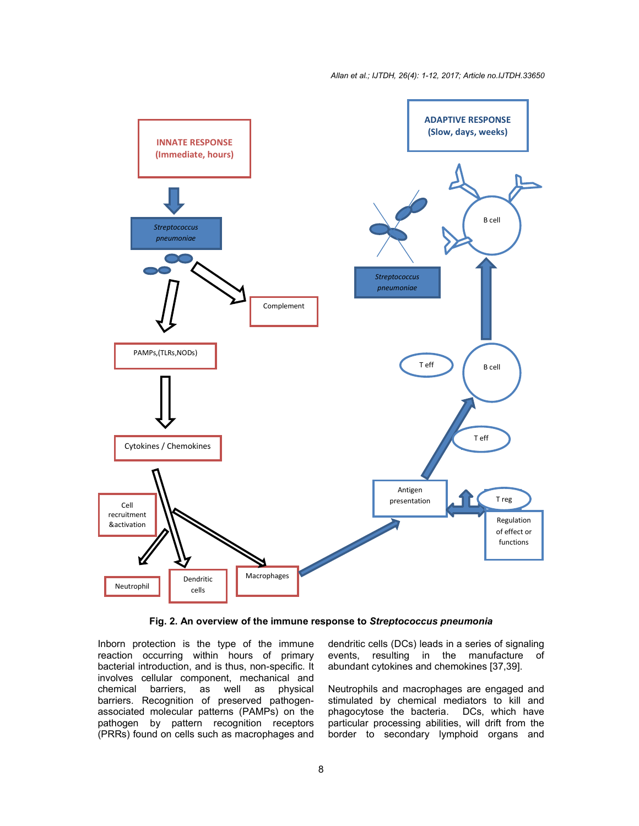*Allan et al.; IJTDH, 26(4): 1-12, 2017; Article no.IJTDH.33650*



**Fig. 2. An overview of the immune response to** *Streptococcus pneumonia*

Inborn protection is the type of the immune reaction occurring within hours of primary bacterial introduction, and is thus, non-specific. It involves cellular component, mechanical and chemical barriers, as well as physical barriers. Recognition of preserved pathogenassociated molecular patterns (PAMPs) on the pathogen by pattern recognition receptors (PRRs) found on cells such as macrophages and dendritic cells (DCs) leads in a series of signaling events, resulting in the manufacture of abundant cytokines and chemokines [37,39].

Neutrophils and macrophages are engaged and stimulated by chemical mediators to kill and phagocytose the bacteria. DCs, which have particular processing abilities, will drift from the border to secondary lymphoid organs and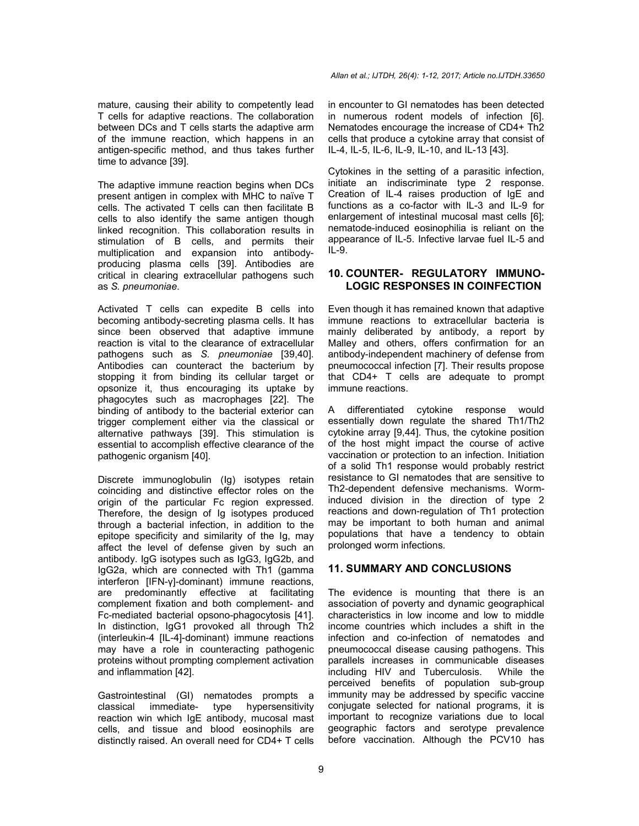mature, causing their ability to competently lead T cells for adaptive reactions. The collaboration between DCs and T cells starts the adaptive arm of the immune reaction, which happens in an antigen-specific method, and thus takes further time to advance [39].

The adaptive immune reaction begins when DCs present antigen in complex with MHC to naïve T cells. The activated T cells can then facilitate B cells to also identify the same antigen though linked recognition. This collaboration results in stimulation of B cells, and permits their multiplication and expansion into antibodyproducing plasma cells [39]. Antibodies are critical in clearing extracellular pathogens such as *S. pneumoniae*.

Activated T cells can expedite B cells into becoming antibody-secreting plasma cells. It has since been observed that adaptive immune reaction is vital to the clearance of extracellular pathogens such as *S. pneumoniae* [39,40]. Antibodies can counteract the bacterium by stopping it from binding its cellular target or opsonize it, thus encouraging its uptake by phagocytes such as macrophages [22]. The binding of antibody to the bacterial exterior can trigger complement either via the classical or alternative pathways [39]. This stimulation is essential to accomplish effective clearance of the pathogenic organism [40].

Discrete immunoglobulin (Ig) isotypes retain coinciding and distinctive effector roles on the origin of the particular Fc region expressed. Therefore, the design of Ig isotypes produced through a bacterial infection, in addition to the epitope specificity and similarity of the Ig, may affect the level of defense given by such an antibody. IgG isotypes such as IgG3, IgG2b, and IgG2a, which are connected with Th1 (gamma interferon [IFN-γ]-dominant) immune reactions, are predominantly effective at facilitating complement fixation and both complement- and Fc-mediated bacterial opsono-phagocytosis [41]. In distinction, IgG1 provoked all through Th2 (interleukin-4 [IL-4]-dominant) immune reactions may have a role in counteracting pathogenic proteins without prompting complement activation and inflammation [42].

Gastrointestinal (GI) nematodes prompts a classical immediate- type hypersensitivity reaction win which IgE antibody, mucosal mast cells, and tissue and blood eosinophils are distinctly raised. An overall need for CD4+ T cells in encounter to GI nematodes has been detected in numerous rodent models of infection [6]. Nematodes encourage the increase of CD4+ Th2 cells that produce a cytokine array that consist of IL-4, IL-5, IL-6, IL-9, IL-10, and IL-13 [43].

Cytokines in the setting of a parasitic infection, initiate an indiscriminate type 2 response. Creation of IL-4 raises production of IgE and functions as a co-factor with IL-3 and IL-9 for enlargement of intestinal mucosal mast cells [6]; nematode-induced eosinophilia is reliant on the appearance of IL-5. Infective larvae fuel IL-5 and IL-9.

## **10. COUNTER- REGULATORY IMMUNO-LOGIC RESPONSES IN COINFECTION**

Even though it has remained known that adaptive immune reactions to extracellular bacteria is mainly deliberated by antibody, a report by Malley and others, offers confirmation for an antibody-independent machinery of defense from pneumococcal infection [7]. Their results propose that CD4+ T cells are adequate to prompt immune reactions.

A differentiated cytokine response would essentially down regulate the shared Th1/Th2 cytokine array [9,44]. Thus, the cytokine position of the host might impact the course of active vaccination or protection to an infection. Initiation of a solid Th1 response would probably restrict resistance to GI nematodes that are sensitive to Th2-dependent defensive mechanisms. Worminduced division in the direction of type 2 reactions and down-regulation of Th1 protection may be important to both human and animal populations that have a tendency to obtain prolonged worm infections.

# **11. SUMMARY AND CONCLUSIONS**

The evidence is mounting that there is an association of poverty and dynamic geographical characteristics in low income and low to middle income countries which includes a shift in the infection and co-infection of nematodes and pneumococcal disease causing pathogens. This parallels increases in communicable diseases including HIV and Tuberculosis. While the perceived benefits of population sub-group immunity may be addressed by specific vaccine conjugate selected for national programs, it is important to recognize variations due to local geographic factors and serotype prevalence before vaccination. Although the PCV10 has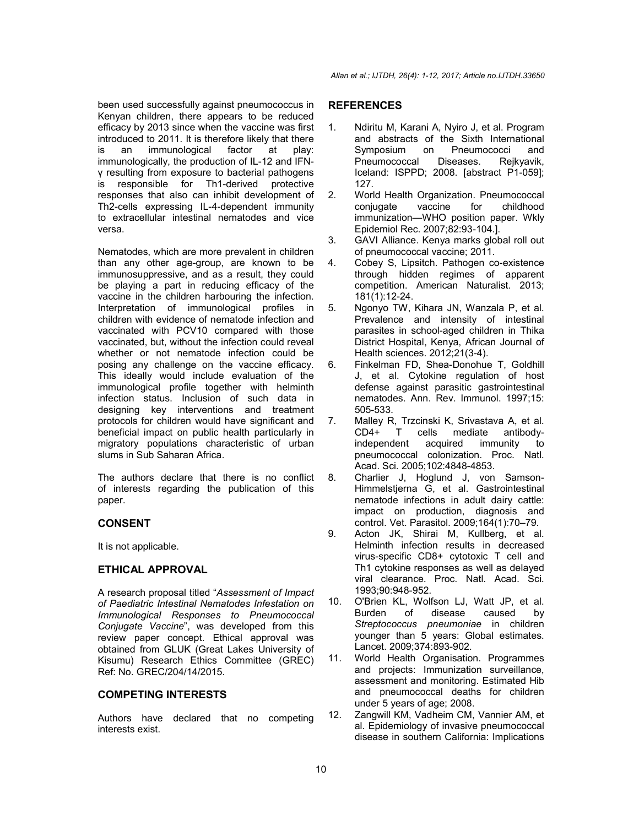been used successfully against pneumococcus in Kenyan children, there appears to be reduced efficacy by 2013 since when the vaccine was first introduced to 2011. It is therefore likely that there is an immunological factor at play: immunologically, the production of IL-12 and IFNγ resulting from exposure to bacterial pathogens is responsible for Th1-derived protective responses that also can inhibit development of Th2-cells expressing IL-4-dependent immunity to extracellular intestinal nematodes and vice versa.

Nematodes, which are more prevalent in children than any other age-group, are known to be immunosuppressive, and as a result, they could be playing a part in reducing efficacy of the vaccine in the children harbouring the infection. Interpretation of immunological profiles in children with evidence of nematode infection and vaccinated with PCV10 compared with those vaccinated, but, without the infection could reveal whether or not nematode infection could be posing any challenge on the vaccine efficacy. This ideally would include evaluation of the immunological profile together with helminth infection status. Inclusion of such data in designing key interventions and treatment protocols for children would have significant and beneficial impact on public health particularly in migratory populations characteristic of urban slums in Sub Saharan Africa.

The authors declare that there is no conflict of interests regarding the publication of this paper.

# **CONSENT**

It is not applicable.

# **ETHICAL APPROVAL**

A research proposal titled "*Assessment of Impact of Paediatric Intestinal Nematodes Infestation on Immunological Responses to Pneumococcal Conjugate Vaccine*", was developed from this review paper concept. Ethical approval was obtained from GLUK (Great Lakes University of Kisumu) Research Ethics Committee (GREC) Ref: No. GREC/204/14/2015.

# **COMPETING INTERESTS**

Authors have declared that no competing interests exist.

# **REFERENCES**

- 1. Ndiritu M, Karani A, Nyiro J, et al. Program and abstracts of the Sixth International Symposium on Pneumococci and Pneumococcal Diseases. Rejkyavik, Iceland: ISPPD; 2008. [abstract P1-059]; 127.
- 2. World Health Organization. Pneumococcal conjugate vaccine for childhood immunization—WHO position paper. Wkly Epidemiol Rec. 2007;82:93-104.].
- 3. GAVI Alliance. Kenya marks global roll out of pneumococcal vaccine; 2011.
- 4. Cobey S, Lipsitch. Pathogen co-existence through hidden regimes of apparent competition. American Naturalist. 2013; 181(1):12-24.
- 5. Ngonyo TW, Kihara JN, Wanzala P, et al. Prevalence and intensity of intestinal parasites in school-aged children in Thika District Hospital, Kenya, African Journal of Health sciences. 2012;21(3-4).
- 6. Finkelman FD, Shea-Donohue T, Goldhill J, et al. Cytokine regulation of host defense against parasitic gastrointestinal nematodes. Ann. Rev. Immunol. 1997;15: 505-533.
- 7. Malley R, Trzcinski K, Srivastava A, et al. CD4+ T cells mediate antibodyindependent acquired immunity to pneumococcal colonization. Proc. Natl. Acad. Sci. 2005;102:4848-4853.
- 8. Charlier J, Hoglund J, von Samson-Himmelstjerna G, et al. Gastrointestinal nematode infections in adult dairy cattle: impact on production, diagnosis and control. Vet. Parasitol. 2009;164(1):70–79.
- 9. Acton JK, Shirai M, Kullberg, et al. Helminth infection results in decreased virus-specific CD8+ cytotoxic T cell and Th1 cytokine responses as well as delayed viral clearance. Proc. Natl. Acad. Sci. 1993;90:948-952.
- 10. O'Brien KL, Wolfson LJ, Watt JP, et al.<br>Burden of disease caused by disease caused by *Streptococcus pneumoniae* in children younger than 5 years: Global estimates. Lancet. 2009;374:893-902.
- 11. World Health Organisation. Programmes and projects: Immunization surveillance, assessment and monitoring. Estimated Hib and pneumococcal deaths for children under 5 years of age; 2008.
- 12. Zangwill KM, Vadheim CM, Vannier AM, et al. Epidemiology of invasive pneumococcal disease in southern California: Implications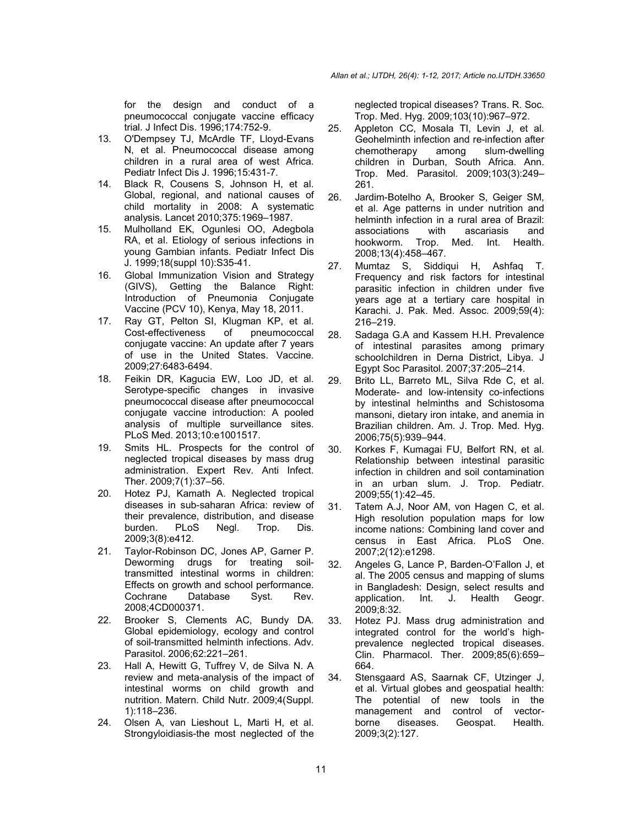for the design and conduct of a pneumococcal conjugate vaccine efficacy trial. J Infect Dis. 1996;174:752-9.

- 13. O'Dempsey TJ, McArdle TF, Lloyd-Evans N, et al. Pneumococcal disease among children in a rural area of west Africa. Pediatr Infect Dis J. 1996;15:431-7.
- 14. Black R, Cousens S, Johnson H, et al. Global, regional, and national causes of child mortality in 2008: A systematic analysis. Lancet 2010;375:1969–1987.
- 15. Mulholland EK, Ogunlesi OO, Adegbola RA, et al. Etiology of serious infections in young Gambian infants. Pediatr Infect Dis J. 1999;18(suppl 10):S35-41.
- 16. Global Immunization Vision and Strategy (GIVS), Getting the Balance Right: Introduction of Pneumonia Conjugate Vaccine (PCV 10), Kenya, May 18, 2011.
- 17. Ray GT, Pelton SI, Klugman KP, et al. Cost-effectiveness of pneumococcal conjugate vaccine: An update after 7 years of use in the United States. Vaccine. 2009;27:6483-6494.
- 18. Feikin DR, Kagucia EW, Loo JD, et al. Serotype-specific changes in invasive pneumococcal disease after pneumococcal conjugate vaccine introduction: A pooled analysis of multiple surveillance sites. PLoS Med. 2013;10:e1001517.
- 19. Smits HL. Prospects for the control of neglected tropical diseases by mass drug administration. Expert Rev. Anti Infect. Ther. 2009;7(1):37–56.
- 20. Hotez PJ, Kamath A. Neglected tropical diseases in sub-saharan Africa: review of their prevalence, distribution, and disease burden. PLoS Negl. Trop. Dis. 2009;3(8):e412.
- 21. Taylor-Robinson DC, Jones AP, Garner P. Deworming drugs for treating soiltransmitted intestinal worms in children: Effects on growth and school performance.<br>Cochrane Database Syst. Rev. Cochrane Database Syst. Rev. 2008;4CD000371.
- 22. Brooker S, Clements AC, Bundy DA. Global epidemiology, ecology and control of soil-transmitted helminth infections. Adv. Parasitol. 2006;62:221–261.
- 23. Hall A, Hewitt G, Tuffrey V, de Silva N. A review and meta-analysis of the impact of intestinal worms on child growth and nutrition. Matern. Child Nutr. 2009;4(Suppl. 1):118–236.
- 24. Olsen A, van Lieshout L, Marti H, et al. Strongyloidiasis-the most neglected of the

neglected tropical diseases? Trans. R. Soc. Trop. Med. Hyg. 2009;103(10):967–972.

- 25. Appleton CC, Mosala TI, Levin J, et al. Geohelminth infection and re-infection after chemotherapy among slum-dwelling children in Durban, South Africa. Ann. Trop. Med. Parasitol. 2009;103(3):249– 261.
- 26. Jardim-Botelho A, Brooker S, Geiger SM, et al. Age patterns in under nutrition and helminth infection in a rural area of Brazil: associations with ascariasis and hookworm. Trop. Med. Int. Health. 2008;13(4):458–467.
- 27. Mumtaz S, Siddiqui H, Ashfaq T. Frequency and risk factors for intestinal parasitic infection in children under five years age at a tertiary care hospital in Karachi. J. Pak. Med. Assoc. 2009;59(4): 216–219.
- 28. Sadaga G.A and Kassem H.H. Prevalence of intestinal parasites among primary schoolchildren in Derna District, Libya. J Egypt Soc Parasitol. 2007;37:205–214.
- 29. Brito LL, Barreto ML, Silva Rde C, et al. Moderate- and low-intensity co-infections by intestinal helminths and Schistosoma mansoni, dietary iron intake, and anemia in Brazilian children. Am. J. Trop. Med. Hyg. 2006;75(5):939–944.
- 30. Korkes F, Kumagai FU, Belfort RN, et al. Relationship between intestinal parasitic infection in children and soil contamination in an urban slum. J. Trop. Pediatr. 2009;55(1):42–45.
- 31. Tatem A.J, Noor AM, von Hagen C, et al. High resolution population maps for low income nations: Combining land cover and census in East Africa. PLoS One. 2007;2(12):e1298.
- 32. Angeles G, Lance P, Barden-O'Fallon J, et al. The 2005 census and mapping of slums in Bangladesh: Design, select results and application. Int. J. Health Geogr. 2009;8:32.
- 33. Hotez PJ. Mass drug administration and integrated control for the world's highprevalence neglected tropical diseases. Clin. Pharmacol. Ther. 2009;85(6):659– 664.
- 34. Stensgaard AS, Saarnak CF, Utzinger J, et al. Virtual globes and geospatial health: The potential of new tools in the management and control of vector-<br>borne diseases. Geospat. Health. diseases. 2009;3(2):127.